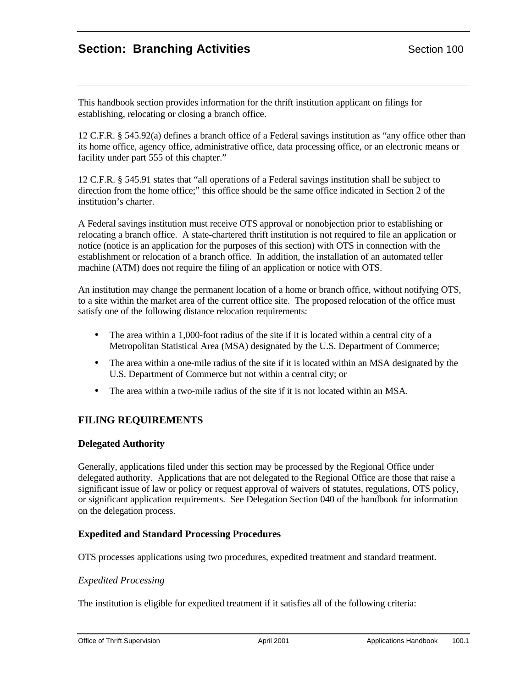# **Section: Branching Activities**  Section 100

This handbook section provides information for the thrift institution applicant on filings for establishing, relocating or closing a branch office.

12 C.F.R. § 545.92(a) defines a branch office of a Federal savings institution as "any office other than its home office, agency office, administrative office, data processing office, or an electronic means or facility under part 555 of this chapter."

12 C.F.R. § 545.91 states that "all operations of a Federal savings institution shall be subject to direction from the home office;" this office should be the same office indicated in Section 2 of the institution's charter.

A Federal savings institution must receive OTS approval or nonobjection prior to establishing or relocating a branch office. A state-chartered thrift institution is not required to file an application or notice (notice is an application for the purposes of this section) with OTS in connection with the establishment or relocation of a branch office. In addition, the installation of an automated teller machine (ATM) does not require the filing of an application or notice with OTS.

An institution may change the permanent location of a home or branch office, without notifying OTS, to a site within the market area of the current office site. The proposed relocation of the office must satisfy one of the following distance relocation requirements:

- The area within a 1,000-foot radius of the site if it is located within a central city of a Metropolitan Statistical Area (MSA) designated by the U.S. Department of Commerce;
- The area within a one-mile radius of the site if it is located within an MSA designated by the U.S. Department of Commerce but not within a central city; or
- The area within a two-mile radius of the site if it is not located within an MSA.

# **FILING REQUIREMENTS**

# **Delegated Authority**

Generally, applications filed under this section may be processed by the Regional Office under delegated authority. Applications that are not delegated to the Regional Office are those that raise a significant issue of law or policy or request approval of waivers of statutes, regulations, OTS policy, or significant application requirements. See Delegation Section 040 of the handbook for information on the delegation process.

# **Expedited and Standard Processing Procedures**

OTS processes applications using two procedures, expedited treatment and standard treatment.

#### *Expedited Processing*

The institution is eligible for expedited treatment if it satisfies all of the following criteria: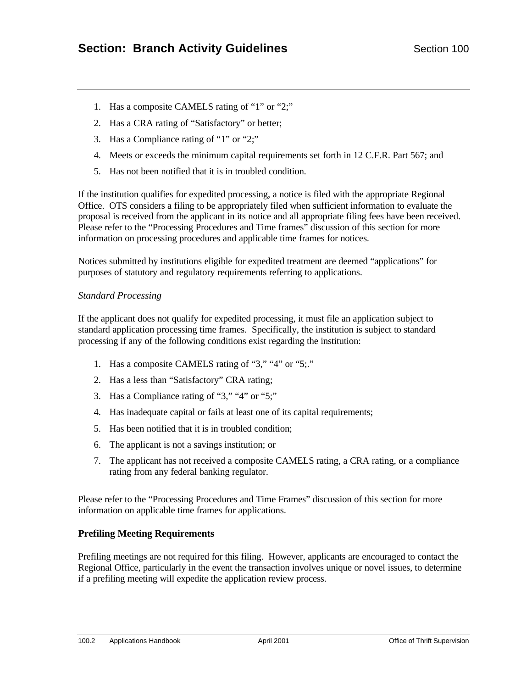- 1. Has a composite CAMELS rating of "1" or "2;"
- 2. Has a CRA rating of "Satisfactory" or better;
- 3. Has a Compliance rating of "1" or "2;"
- 4. Meets or exceeds the minimum capital requirements set forth in 12 C.F.R. Part 567; and
- 5. Has not been notified that it is in troubled condition.

If the institution qualifies for expedited processing, a notice is filed with the appropriate Regional Office. OTS considers a filing to be appropriately filed when sufficient information to evaluate the proposal is received from the applicant in its notice and all appropriate filing fees have been received. Please refer to the "Processing Procedures and Time frames" discussion of this section for more information on processing procedures and applicable time frames for notices.

Notices submitted by institutions eligible for expedited treatment are deemed "applications" for purposes of statutory and regulatory requirements referring to applications.

# *Standard Processing*

If the applicant does not qualify for expedited processing, it must file an application subject to standard application processing time frames. Specifically, the institution is subject to standard processing if any of the following conditions exist regarding the institution:

- 1. Has a composite CAMELS rating of "3," "4" or "5;."
- 2. Has a less than "Satisfactory" CRA rating;
- 3. Has a Compliance rating of "3," "4" or "5;"
- 4. Has inadequate capital or fails at least one of its capital requirements;
- 5. Has been notified that it is in troubled condition;
- 6. The applicant is not a savings institution; or
- 7. The applicant has not received a composite CAMELS rating, a CRA rating, or a compliance rating from any federal banking regulator.

Please refer to the "Processing Procedures and Time Frames" discussion of this section for more information on applicable time frames for applications.

# **Prefiling Meeting Requirements**

Prefiling meetings are not required for this filing. However, applicants are encouraged to contact the Regional Office, particularly in the event the transaction involves unique or novel issues, to determine if a prefiling meeting will expedite the application review process.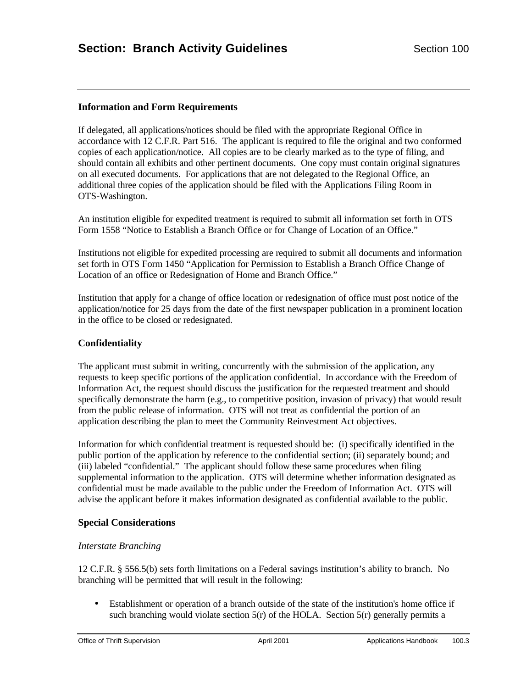# **Information and Form Requirements**

If delegated, all applications/notices should be filed with the appropriate Regional Office in accordance with 12 C.F.R. Part 516. The applicant is required to file the original and two conformed copies of each application/notice. All copies are to be clearly marked as to the type of filing, and should contain all exhibits and other pertinent documents. One copy must contain original signatures on all executed documents. For applications that are not delegated to the Regional Office, an additional three copies of the application should be filed with the Applications Filing Room in OTS-Washington.

An institution eligible for expedited treatment is required to submit all information set forth in OTS Form 1558 "Notice to Establish a Branch Office or for Change of Location of an Office."

Institutions not eligible for expedited processing are required to submit all documents and information set forth in OTS Form 1450 "Application for Permission to Establish a Branch Office Change of Location of an office or Redesignation of Home and Branch Office."

Institution that apply for a change of office location or redesignation of office must post notice of the application/notice for 25 days from the date of the first newspaper publication in a prominent location in the office to be closed or redesignated.

# **Confidentiality**

The applicant must submit in writing, concurrently with the submission of the application, any requests to keep specific portions of the application confidential. In accordance with the Freedom of Information Act, the request should discuss the justification for the requested treatment and should specifically demonstrate the harm (e.g., to competitive position, invasion of privacy) that would result from the public release of information. OTS will not treat as confidential the portion of an application describing the plan to meet the Community Reinvestment Act objectives.

Information for which confidential treatment is requested should be: (i) specifically identified in the public portion of the application by reference to the confidential section; (ii) separately bound; and (iii) labeled "confidential." The applicant should follow these same procedures when filing supplemental information to the application. OTS will determine whether information designated as confidential must be made available to the public under the Freedom of Information Act. OTS will advise the applicant before it makes information designated as confidential available to the public.

#### **Special Considerations**

#### *Interstate Branching*

12 C.F.R. § 556.5(b) sets forth limitations on a Federal savings institution's ability to branch. No branching will be permitted that will result in the following:

• Establishment or operation of a branch outside of the state of the institution's home office if such branching would violate section  $5(r)$  of the HOLA. Section  $5(r)$  generally permits a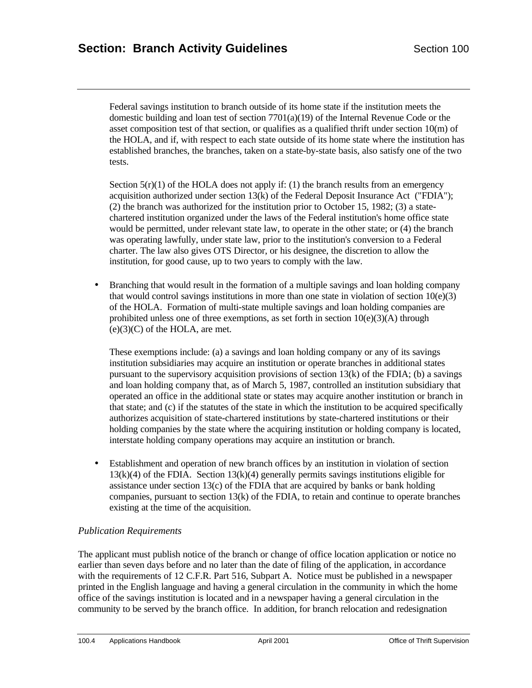Federal savings institution to branch outside of its home state if the institution meets the domestic building and loan test of section 7701(a)(19) of the Internal Revenue Code or the asset composition test of that section, or qualifies as a qualified thrift under section  $10(m)$  of the HOLA, and if, with respect to each state outside of its home state where the institution has established branches, the branches, taken on a state-by-state basis, also satisfy one of the two tests.

Section  $5(r)(1)$  of the HOLA does not apply if: (1) the branch results from an emergency acquisition authorized under section 13(k) of the Federal Deposit Insurance Act ("FDIA"); (2) the branch was authorized for the institution prior to October 15, 1982; (3) a statechartered institution organized under the laws of the Federal institution's home office state would be permitted, under relevant state law, to operate in the other state; or (4) the branch was operating lawfully, under state law, prior to the institution's conversion to a Federal charter. The law also gives OTS Director, or his designee, the discretion to allow the institution, for good cause, up to two years to comply with the law.

• Branching that would result in the formation of a multiple savings and loan holding company that would control savings institutions in more than one state in violation of section  $10(e)(3)$ of the HOLA. Formation of multi-state multiple savings and loan holding companies are prohibited unless one of three exemptions, as set forth in section  $10(e)(3)(A)$  through  $(e)(3)(C)$  of the HOLA, are met.

These exemptions include: (a) a savings and loan holding company or any of its savings institution subsidiaries may acquire an institution or operate branches in additional states pursuant to the supervisory acquisition provisions of section  $13(k)$  of the FDIA; (b) a savings and loan holding company that, as of March 5, 1987, controlled an institution subsidiary that operated an office in the additional state or states may acquire another institution or branch in that state; and (c) if the statutes of the state in which the institution to be acquired specifically authorizes acquisition of state-chartered institutions by state-chartered institutions or their holding companies by the state where the acquiring institution or holding company is located, interstate holding company operations may acquire an institution or branch.

• Establishment and operation of new branch offices by an institution in violation of section 13(k)(4) of the FDIA. Section 13(k)(4) generally permits savings institutions eligible for assistance under section  $13(c)$  of the FDIA that are acquired by banks or bank holding companies, pursuant to section 13(k) of the FDIA, to retain and continue to operate branches existing at the time of the acquisition.

#### *Publication Requirements*

The applicant must publish notice of the branch or change of office location application or notice no earlier than seven days before and no later than the date of filing of the application, in accordance with the requirements of 12 C.F.R. Part 516, Subpart A. Notice must be published in a newspaper printed in the English language and having a general circulation in the community in which the home office of the savings institution is located and in a newspaper having a general circulation in the community to be served by the branch office. In addition, for branch relocation and redesignation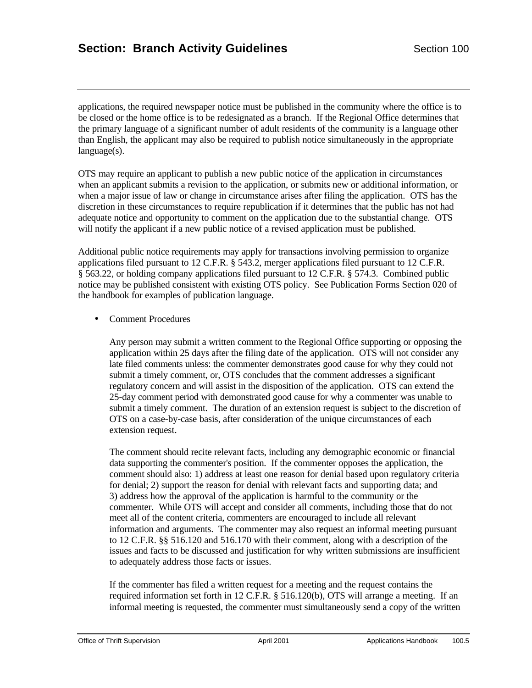applications, the required newspaper notice must be published in the community where the office is to be closed or the home office is to be redesignated as a branch. If the Regional Office determines that the primary language of a significant number of adult residents of the community is a language other than English, the applicant may also be required to publish notice simultaneously in the appropriate language(s).

OTS may require an applicant to publish a new public notice of the application in circumstances when an applicant submits a revision to the application, or submits new or additional information, or when a major issue of law or change in circumstance arises after filing the application. OTS has the discretion in these circumstances to require republication if it determines that the public has not had adequate notice and opportunity to comment on the application due to the substantial change. OTS will notify the applicant if a new public notice of a revised application must be published.

Additional public notice requirements may apply for transactions involving permission to organize applications filed pursuant to 12 C.F.R. § 543.2, merger applications filed pursuant to 12 C.F.R. § 563.22, or holding company applications filed pursuant to 12 C.F.R. § 574.3. Combined public notice may be published consistent with existing OTS policy. See Publication Forms Section 020 of the handbook for examples of publication language.

• Comment Procedures

Any person may submit a written comment to the Regional Office supporting or opposing the application within 25 days after the filing date of the application. OTS will not consider any late filed comments unless: the commenter demonstrates good cause for why they could not submit a timely comment, or, OTS concludes that the comment addresses a significant regulatory concern and will assist in the disposition of the application. OTS can extend the 25-day comment period with demonstrated good cause for why a commenter was unable to submit a timely comment. The duration of an extension request is subject to the discretion of OTS on a case-by-case basis, after consideration of the unique circumstances of each extension request.

The comment should recite relevant facts, including any demographic economic or financial data supporting the commenter's position. If the commenter opposes the application, the comment should also: 1) address at least one reason for denial based upon regulatory criteria for denial; 2) support the reason for denial with relevant facts and supporting data; and 3) address how the approval of the application is harmful to the community or the commenter. While OTS will accept and consider all comments, including those that do not meet all of the content criteria, commenters are encouraged to include all relevant information and arguments. The commenter may also request an informal meeting pursuant to 12 C.F.R. §§ 516.120 and 516.170 with their comment, along with a description of the issues and facts to be discussed and justification for why written submissions are insufficient to adequately address those facts or issues.

If the commenter has filed a written request for a meeting and the request contains the required information set forth in 12 C.F.R. § 516.120(b), OTS will arrange a meeting. If an informal meeting is requested, the commenter must simultaneously send a copy of the written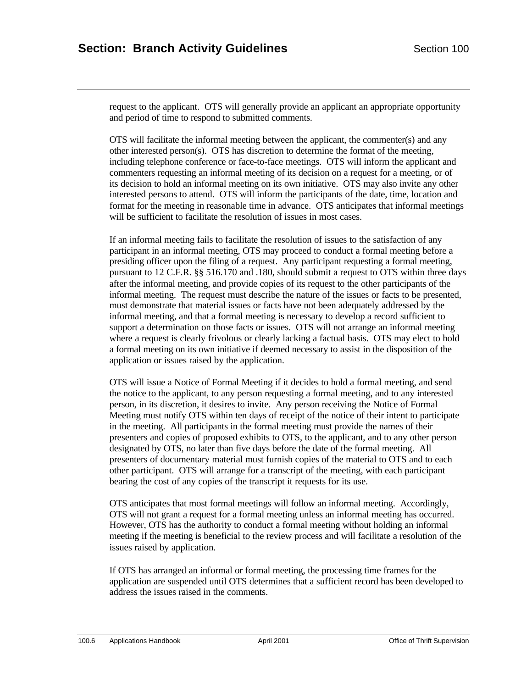request to the applicant. OTS will generally provide an applicant an appropriate opportunity and period of time to respond to submitted comments.

OTS will facilitate the informal meeting between the applicant, the commenter(s) and any other interested person(s). OTS has discretion to determine the format of the meeting, including telephone conference or face-to-face meetings. OTS will inform the applicant and commenters requesting an informal meeting of its decision on a request for a meeting, or of its decision to hold an informal meeting on its own initiative. OTS may also invite any other interested persons to attend. OTS will inform the participants of the date, time, location and format for the meeting in reasonable time in advance. OTS anticipates that informal meetings will be sufficient to facilitate the resolution of issues in most cases.

If an informal meeting fails to facilitate the resolution of issues to the satisfaction of any participant in an informal meeting, OTS may proceed to conduct a formal meeting before a presiding officer upon the filing of a request. Any participant requesting a formal meeting, pursuant to 12 C.F.R. §§ 516.170 and .180, should submit a request to OTS within three days after the informal meeting, and provide copies of its request to the other participants of the informal meeting. The request must describe the nature of the issues or facts to be presented, must demonstrate that material issues or facts have not been adequately addressed by the informal meeting, and that a formal meeting is necessary to develop a record sufficient to support a determination on those facts or issues. OTS will not arrange an informal meeting where a request is clearly frivolous or clearly lacking a factual basis. OTS may elect to hold a formal meeting on its own initiative if deemed necessary to assist in the disposition of the application or issues raised by the application.

OTS will issue a Notice of Formal Meeting if it decides to hold a formal meeting, and send the notice to the applicant, to any person requesting a formal meeting, and to any interested person, in its discretion, it desires to invite. Any person receiving the Notice of Formal Meeting must notify OTS within ten days of receipt of the notice of their intent to participate in the meeting. All participants in the formal meeting must provide the names of their presenters and copies of proposed exhibits to OTS, to the applicant, and to any other person designated by OTS, no later than five days before the date of the formal meeting. All presenters of documentary material must furnish copies of the material to OTS and to each other participant. OTS will arrange for a transcript of the meeting, with each participant bearing the cost of any copies of the transcript it requests for its use.

OTS anticipates that most formal meetings will follow an informal meeting. Accordingly, OTS will not grant a request for a formal meeting unless an informal meeting has occurred. However, OTS has the authority to conduct a formal meeting without holding an informal meeting if the meeting is beneficial to the review process and will facilitate a resolution of the issues raised by application.

If OTS has arranged an informal or formal meeting, the processing time frames for the application are suspended until OTS determines that a sufficient record has been developed to address the issues raised in the comments.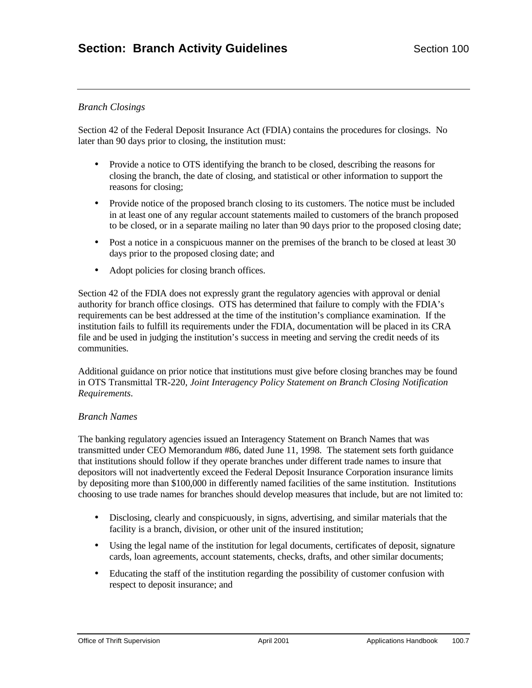# *Branch Closings*

Section 42 of the Federal Deposit Insurance Act (FDIA) contains the procedures for closings. No later than 90 days prior to closing, the institution must:

- Provide a notice to OTS identifying the branch to be closed, describing the reasons for closing the branch, the date of closing, and statistical or other information to support the reasons for closing;
- Provide notice of the proposed branch closing to its customers. The notice must be included in at least one of any regular account statements mailed to customers of the branch proposed to be closed, or in a separate mailing no later than 90 days prior to the proposed closing date;
- Post a notice in a conspicuous manner on the premises of the branch to be closed at least 30 days prior to the proposed closing date; and
- Adopt policies for closing branch offices.

Section 42 of the FDIA does not expressly grant the regulatory agencies with approval or denial authority for branch office closings. OTS has determined that failure to comply with the FDIA's requirements can be best addressed at the time of the institution's compliance examination. If the institution fails to fulfill its requirements under the FDIA, documentation will be placed in its CRA file and be used in judging the institution's success in meeting and serving the credit needs of its communities.

Additional guidance on prior notice that institutions must give before closing branches may be found in OTS Transmittal TR-220, *Joint Interagency Policy Statement on Branch Closing Notification Requirements*.

#### *Branch Names*

The banking regulatory agencies issued an Interagency Statement on Branch Names that was transmitted under CEO Memorandum #86, dated June 11, 1998. The statement sets forth guidance that institutions should follow if they operate branches under different trade names to insure that depositors will not inadvertently exceed the Federal Deposit Insurance Corporation insurance limits by depositing more than \$100,000 in differently named facilities of the same institution. Institutions choosing to use trade names for branches should develop measures that include, but are not limited to:

- Disclosing, clearly and conspicuously, in signs, advertising, and similar materials that the facility is a branch, division, or other unit of the insured institution;
- Using the legal name of the institution for legal documents, certificates of deposit, signature cards, loan agreements, account statements, checks, drafts, and other similar documents;
- Educating the staff of the institution regarding the possibility of customer confusion with respect to deposit insurance; and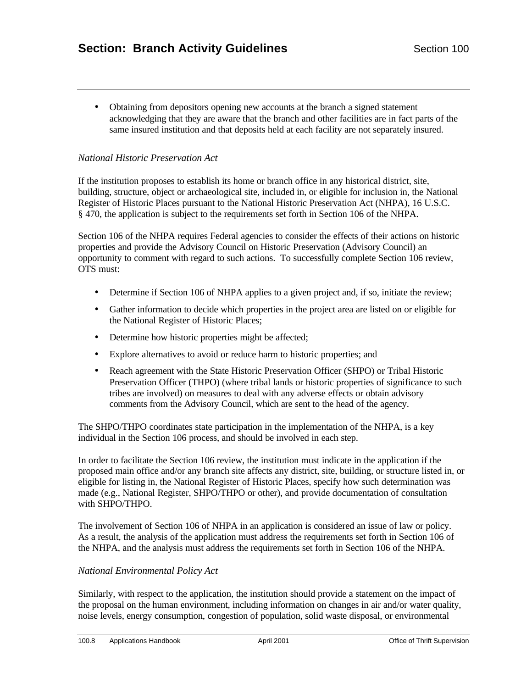• Obtaining from depositors opening new accounts at the branch a signed statement acknowledging that they are aware that the branch and other facilities are in fact parts of the same insured institution and that deposits held at each facility are not separately insured.

# *National Historic Preservation Act*

If the institution proposes to establish its home or branch office in any historical district, site, building, structure, object or archaeological site, included in, or eligible for inclusion in, the National Register of Historic Places pursuant to the National Historic Preservation Act (NHPA), 16 U.S.C. § 470, the application is subject to the requirements set forth in Section 106 of the NHPA.

Section 106 of the NHPA requires Federal agencies to consider the effects of their actions on historic properties and provide the Advisory Council on Historic Preservation (Advisory Council) an opportunity to comment with regard to such actions. To successfully complete Section 106 review, OTS must:

- Determine if Section 106 of NHPA applies to a given project and, if so, initiate the review;
- Gather information to decide which properties in the project area are listed on or eligible for the National Register of Historic Places;
- Determine how historic properties might be affected;
- Explore alternatives to avoid or reduce harm to historic properties; and
- Reach agreement with the State Historic Preservation Officer (SHPO) or Tribal Historic Preservation Officer (THPO) (where tribal lands or historic properties of significance to such tribes are involved) on measures to deal with any adverse effects or obtain advisory comments from the Advisory Council, which are sent to the head of the agency.

The SHPO/THPO coordinates state participation in the implementation of the NHPA, is a key individual in the Section 106 process, and should be involved in each step.

In order to facilitate the Section 106 review, the institution must indicate in the application if the proposed main office and/or any branch site affects any district, site, building, or structure listed in, or eligible for listing in, the National Register of Historic Places, specify how such determination was made (e.g., National Register, SHPO/THPO or other), and provide documentation of consultation with SHPO/THPO.

The involvement of Section 106 of NHPA in an application is considered an issue of law or policy. As a result, the analysis of the application must address the requirements set forth in Section 106 of the NHPA, and the analysis must address the requirements set forth in Section 106 of the NHPA.

#### *National Environmental Policy Act*

Similarly, with respect to the application, the institution should provide a statement on the impact of the proposal on the human environment, including information on changes in air and/or water quality, noise levels, energy consumption, congestion of population, solid waste disposal, or environmental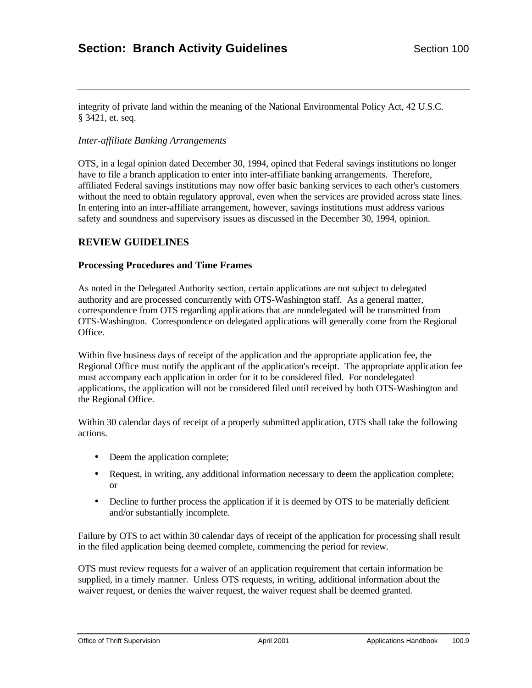integrity of private land within the meaning of the National Environmental Policy Act, 42 U.S.C. § 3421, et. seq.

#### *Inter-affiliate Banking Arrangements*

OTS, in a legal opinion dated December 30, 1994, opined that Federal savings institutions no longer have to file a branch application to enter into inter-affiliate banking arrangements. Therefore, affiliated Federal savings institutions may now offer basic banking services to each other's customers without the need to obtain regulatory approval, even when the services are provided across state lines. In entering into an inter-affiliate arrangement, however, savings institutions must address various safety and soundness and supervisory issues as discussed in the December 30, 1994, opinion.

# **REVIEW GUIDELINES**

#### **Processing Procedures and Time Frames**

As noted in the Delegated Authority section, certain applications are not subject to delegated authority and are processed concurrently with OTS-Washington staff. As a general matter, correspondence from OTS regarding applications that are nondelegated will be transmitted from OTS-Washington. Correspondence on delegated applications will generally come from the Regional Office.

Within five business days of receipt of the application and the appropriate application fee, the Regional Office must notify the applicant of the application's receipt. The appropriate application fee must accompany each application in order for it to be considered filed. For nondelegated applications, the application will not be considered filed until received by both OTS-Washington and the Regional Office.

Within 30 calendar days of receipt of a properly submitted application, OTS shall take the following actions.

- Deem the application complete;
- Request, in writing, any additional information necessary to deem the application complete; or
- Decline to further process the application if it is deemed by OTS to be materially deficient and/or substantially incomplete.

Failure by OTS to act within 30 calendar days of receipt of the application for processing shall result in the filed application being deemed complete, commencing the period for review.

OTS must review requests for a waiver of an application requirement that certain information be supplied, in a timely manner. Unless OTS requests, in writing, additional information about the waiver request, or denies the waiver request, the waiver request shall be deemed granted.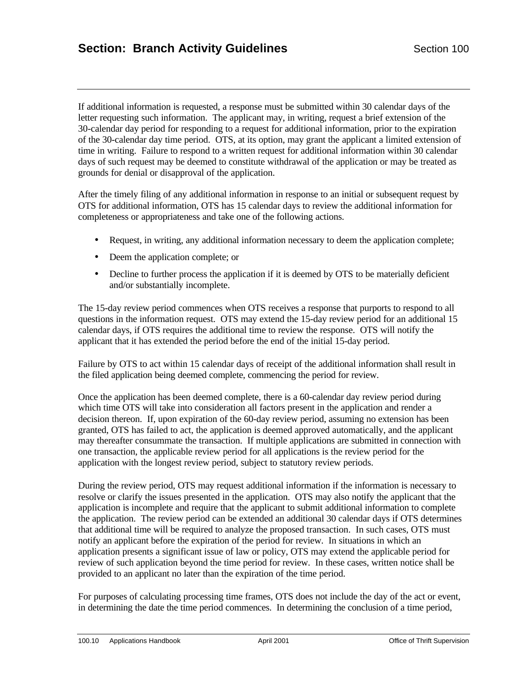If additional information is requested, a response must be submitted within 30 calendar days of the letter requesting such information. The applicant may, in writing, request a brief extension of the 30-calendar day period for responding to a request for additional information, prior to the expiration of the 30-calendar day time period. OTS, at its option, may grant the applicant a limited extension of time in writing. Failure to respond to a written request for additional information within 30 calendar days of such request may be deemed to constitute withdrawal of the application or may be treated as grounds for denial or disapproval of the application.

After the timely filing of any additional information in response to an initial or subsequent request by OTS for additional information, OTS has 15 calendar days to review the additional information for completeness or appropriateness and take one of the following actions.

- Request, in writing, any additional information necessary to deem the application complete;
- Deem the application complete; or
- Decline to further process the application if it is deemed by OTS to be materially deficient and/or substantially incomplete.

The 15-day review period commences when OTS receives a response that purports to respond to all questions in the information request. OTS may extend the 15-day review period for an additional 15 calendar days, if OTS requires the additional time to review the response. OTS will notify the applicant that it has extended the period before the end of the initial 15-day period.

Failure by OTS to act within 15 calendar days of receipt of the additional information shall result in the filed application being deemed complete, commencing the period for review.

Once the application has been deemed complete, there is a 60-calendar day review period during which time OTS will take into consideration all factors present in the application and render a decision thereon. If, upon expiration of the 60-day review period, assuming no extension has been granted, OTS has failed to act, the application is deemed approved automatically, and the applicant may thereafter consummate the transaction. If multiple applications are submitted in connection with one transaction, the applicable review period for all applications is the review period for the application with the longest review period, subject to statutory review periods.

During the review period, OTS may request additional information if the information is necessary to resolve or clarify the issues presented in the application. OTS may also notify the applicant that the application is incomplete and require that the applicant to submit additional information to complete the application. The review period can be extended an additional 30 calendar days if OTS determines that additional time will be required to analyze the proposed transaction. In such cases, OTS must notify an applicant before the expiration of the period for review. In situations in which an application presents a significant issue of law or policy, OTS may extend the applicable period for review of such application beyond the time period for review. In these cases, written notice shall be provided to an applicant no later than the expiration of the time period.

For purposes of calculating processing time frames, OTS does not include the day of the act or event, in determining the date the time period commences. In determining the conclusion of a time period,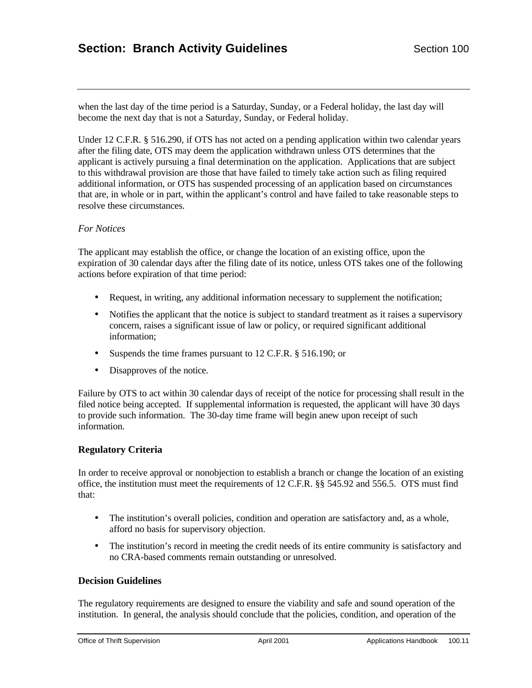when the last day of the time period is a Saturday, Sunday, or a Federal holiday, the last day will become the next day that is not a Saturday, Sunday, or Federal holiday.

Under 12 C.F.R. § 516.290, if OTS has not acted on a pending application within two calendar years after the filing date, OTS may deem the application withdrawn unless OTS determines that the applicant is actively pursuing a final determination on the application. Applications that are subject to this withdrawal provision are those that have failed to timely take action such as filing required additional information, or OTS has suspended processing of an application based on circumstances that are, in whole or in part, within the applicant's control and have failed to take reasonable steps to resolve these circumstances.

# *For Notices*

The applicant may establish the office, or change the location of an existing office, upon the expiration of 30 calendar days after the filing date of its notice, unless OTS takes one of the following actions before expiration of that time period:

- Request, in writing, any additional information necessary to supplement the notification;
- Notifies the applicant that the notice is subject to standard treatment as it raises a supervisory concern, raises a significant issue of law or policy, or required significant additional information;
- Suspends the time frames pursuant to 12 C.F.R. § 516.190; or
- Disapproves of the notice.

Failure by OTS to act within 30 calendar days of receipt of the notice for processing shall result in the filed notice being accepted. If supplemental information is requested, the applicant will have 30 days to provide such information. The 30-day time frame will begin anew upon receipt of such information.

#### **Regulatory Criteria**

In order to receive approval or nonobjection to establish a branch or change the location of an existing office, the institution must meet the requirements of 12 C.F.R. §§ 545.92 and 556.5. OTS must find that:

- The institution's overall policies, condition and operation are satisfactory and, as a whole, afford no basis for supervisory objection.
- The institution's record in meeting the credit needs of its entire community is satisfactory and no CRA-based comments remain outstanding or unresolved.

# **Decision Guidelines**

The regulatory requirements are designed to ensure the viability and safe and sound operation of the institution. In general, the analysis should conclude that the policies, condition, and operation of the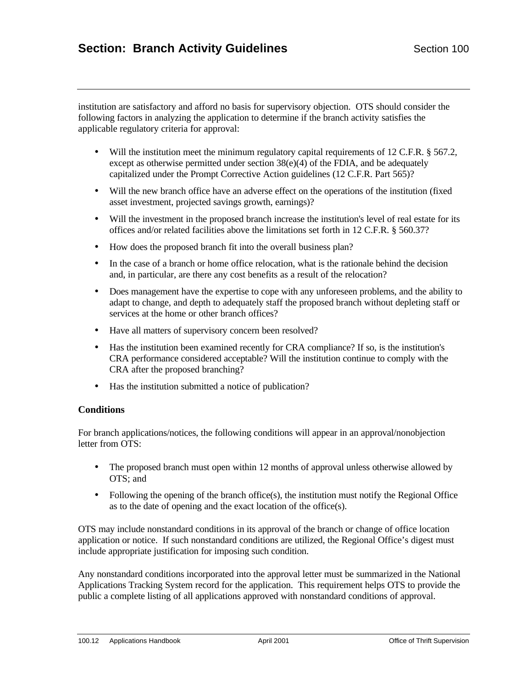institution are satisfactory and afford no basis for supervisory objection. OTS should consider the following factors in analyzing the application to determine if the branch activity satisfies the applicable regulatory criteria for approval:

- Will the institution meet the minimum regulatory capital requirements of 12 C.F.R. § 567.2, except as otherwise permitted under section 38(e)(4) of the FDIA, and be adequately capitalized under the Prompt Corrective Action guidelines (12 C.F.R. Part 565)?
- Will the new branch office have an adverse effect on the operations of the institution (fixed asset investment, projected savings growth, earnings)?
- Will the investment in the proposed branch increase the institution's level of real estate for its offices and/or related facilities above the limitations set forth in 12 C.F.R. § 560.37?
- How does the proposed branch fit into the overall business plan?
- In the case of a branch or home office relocation, what is the rationale behind the decision and, in particular, are there any cost benefits as a result of the relocation?
- Does management have the expertise to cope with any unforeseen problems, and the ability to adapt to change, and depth to adequately staff the proposed branch without depleting staff or services at the home or other branch offices?
- Have all matters of supervisory concern been resolved?
- Has the institution been examined recently for CRA compliance? If so, is the institution's CRA performance considered acceptable? Will the institution continue to comply with the CRA after the proposed branching?
- Has the institution submitted a notice of publication?

# **Conditions**

For branch applications/notices, the following conditions will appear in an approval/nonobjection letter from OTS:

- The proposed branch must open within 12 months of approval unless otherwise allowed by OTS; and
- Following the opening of the branch office(s), the institution must notify the Regional Office as to the date of opening and the exact location of the office(s).

OTS may include nonstandard conditions in its approval of the branch or change of office location application or notice. If such nonstandard conditions are utilized, the Regional Office's digest must include appropriate justification for imposing such condition.

Any nonstandard conditions incorporated into the approval letter must be summarized in the National Applications Tracking System record for the application. This requirement helps OTS to provide the public a complete listing of all applications approved with nonstandard conditions of approval.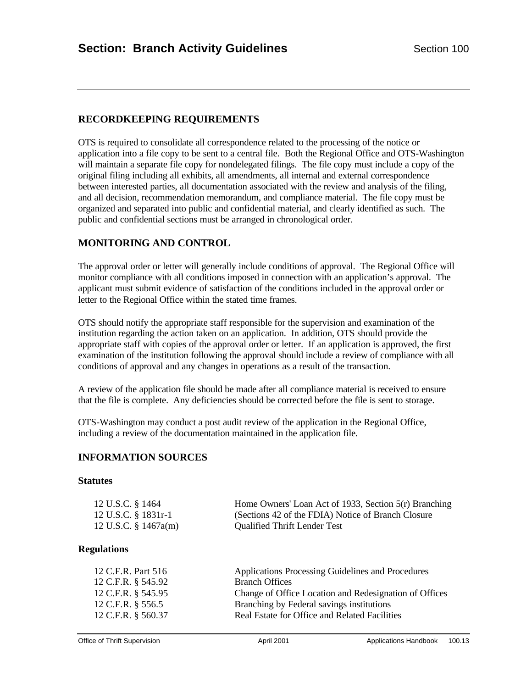# **RECORDKEEPING REQUIREMENTS**

OTS is required to consolidate all correspondence related to the processing of the notice or application into a file copy to be sent to a central file. Both the Regional Office and OTS-Washington will maintain a separate file copy for nondelegated filings. The file copy must include a copy of the original filing including all exhibits, all amendments, all internal and external correspondence between interested parties, all documentation associated with the review and analysis of the filing, and all decision, recommendation memorandum, and compliance material. The file copy must be organized and separated into public and confidential material, and clearly identified as such. The public and confidential sections must be arranged in chronological order.

# **MONITORING AND CONTROL**

The approval order or letter will generally include conditions of approval. The Regional Office will monitor compliance with all conditions imposed in connection with an application's approval. The applicant must submit evidence of satisfaction of the conditions included in the approval order or letter to the Regional Office within the stated time frames.

OTS should notify the appropriate staff responsible for the supervision and examination of the institution regarding the action taken on an application. In addition, OTS should provide the appropriate staff with copies of the approval order or letter. If an application is approved, the first examination of the institution following the approval should include a review of compliance with all conditions of approval and any changes in operations as a result of the transaction.

A review of the application file should be made after all compliance material is received to ensure that the file is complete. Any deficiencies should be corrected before the file is sent to storage.

OTS-Washington may conduct a post audit review of the application in the Regional Office, including a review of the documentation maintained in the application file.

# **INFORMATION SOURCES**

#### **Statutes**

| 12 U.S.C. § 1464     | Home Owners' Loan Act of 1933, Section 5(r) Branching |
|----------------------|-------------------------------------------------------|
| 12 U.S.C. § 1831r-1  | (Sections 42 of the FDIA) Notice of Branch Closure    |
| 12 U.S.C. § 1467a(m) | <b>Qualified Thrift Lender Test</b>                   |

#### **Regulations**

| 12 C.F.R. Part 516<br>12 C.F.R. § 545.92<br>12 C.F.R. § 545.95<br>12 C.F.R. § 556.5 | Applications Processing Guidelines and Procedures<br><b>Branch Offices</b><br>Change of Office Location and Redesignation of Offices<br>Branching by Federal savings institutions |
|-------------------------------------------------------------------------------------|-----------------------------------------------------------------------------------------------------------------------------------------------------------------------------------|
| 12 C.F.R. § 560.37                                                                  | Real Estate for Office and Related Facilities                                                                                                                                     |
|                                                                                     |                                                                                                                                                                                   |